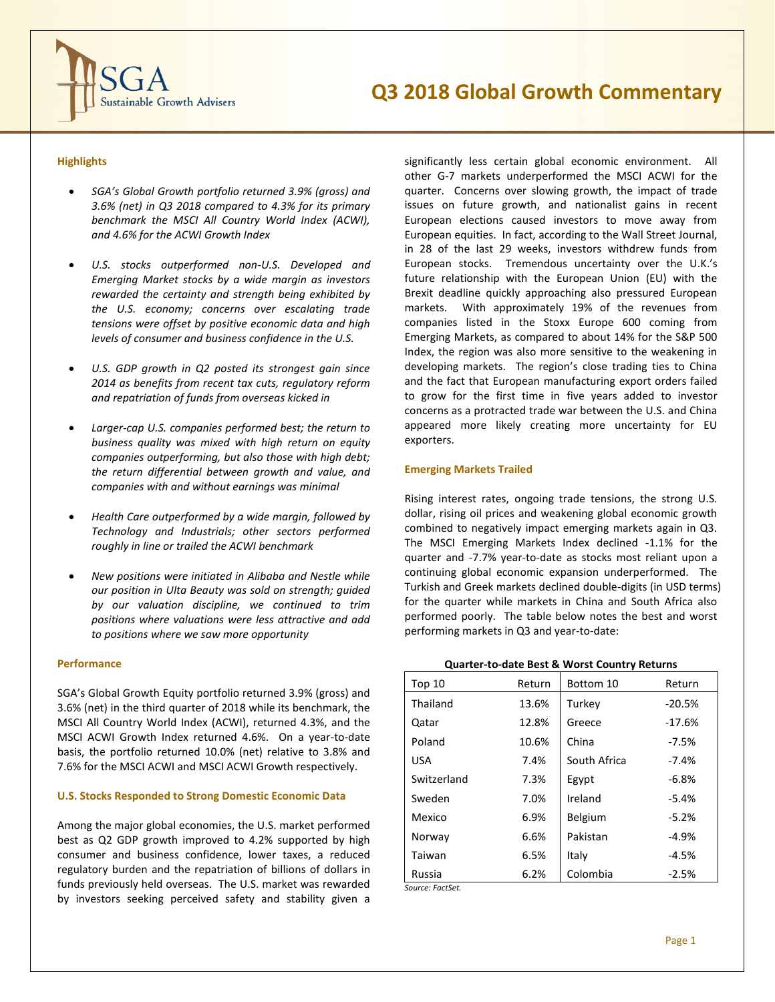

# **Highlights**

- *SGA's Global Growth portfolio returned 3.9% (gross) and 3.6% (net) in Q3 2018 compared to 4.3% for its primary benchmark the MSCI All Country World Index (ACWI), and 4.6% for the ACWI Growth Index*
- *U.S. stocks outperformed non-U.S. Developed and Emerging Market stocks by a wide margin as investors rewarded the certainty and strength being exhibited by the U.S. economy; concerns over escalating trade tensions were offset by positive economic data and high levels of consumer and business confidence in the U.S.*
- *U.S. GDP growth in Q2 posted its strongest gain since 2014 as benefits from recent tax cuts, regulatory reform and repatriation of funds from overseas kicked in*
- *Larger-cap U.S. companies performed best; the return to business quality was mixed with high return on equity companies outperforming, but also those with high debt; the return differential between growth and value, and companies with and without earnings was minimal*
- *Health Care outperformed by a wide margin, followed by Technology and Industrials; other sectors performed roughly in line or trailed the ACWI benchmark*
- *New positions were initiated in Alibaba and Nestle while our position in Ulta Beauty was sold on strength; guided by our valuation discipline, we continued to trim positions where valuations were less attractive and add to positions where we saw more opportunity*

#### **Performance**

SGA's Global Growth Equity portfolio returned 3.9% (gross) and 3.6% (net) in the third quarter of 2018 while its benchmark, the MSCI All Country World Index (ACWI), returned 4.3%, and the MSCI ACWI Growth Index returned 4.6%. On a year-to-date basis, the portfolio returned 10.0% (net) relative to 3.8% and 7.6% for the MSCI ACWI and MSCI ACWI Growth respectively.

## **U.S. Stocks Responded to Strong Domestic Economic Data**

Among the major global economies, the U.S. market performed best as Q2 GDP growth improved to 4.2% supported by high consumer and business confidence, lower taxes, a reduced regulatory burden and the repatriation of billions of dollars in funds previously held overseas. The U.S. market was rewarded by investors seeking perceived safety and stability given a

significantly less certain global economic environment. All other G-7 markets underperformed the MSCI ACWI for the quarter. Concerns over slowing growth, the impact of trade issues on future growth, and nationalist gains in recent European elections caused investors to move away from European equities. In fact, according to the Wall Street Journal, in 28 of the last 29 weeks, investors withdrew funds from European stocks. Tremendous uncertainty over the U.K.'s future relationship with the European Union (EU) with the Brexit deadline quickly approaching also pressured European markets. With approximately 19% of the revenues from companies listed in the Stoxx Europe 600 coming from Emerging Markets, as compared to about 14% for the S&P 500 Index, the region was also more sensitive to the weakening in developing markets. The region's close trading ties to China and the fact that European manufacturing export orders failed to grow for the first time in five years added to investor concerns as a protracted trade war between the U.S. and China appeared more likely creating more uncertainty for EU exporters.

### **Emerging Markets Trailed**

Rising interest rates, ongoing trade tensions, the strong U.S. dollar, rising oil prices and weakening global economic growth combined to negatively impact emerging markets again in Q3. The MSCI Emerging Markets Index declined -1.1% for the quarter and -7.7% year-to-date as stocks most reliant upon a continuing global economic expansion underperformed. The Turkish and Greek markets declined double-digits (in USD terms) for the quarter while markets in China and South Africa also performed poorly. The table below notes the best and worst performing markets in Q3 and year-to-date:

#### **Quarter-to-date Best & Worst Country Returns**

| Top <sub>10</sub> | Return | Bottom 10      | Return   |
|-------------------|--------|----------------|----------|
| Thailand          | 13.6%  | Turkey         | $-20.5%$ |
| Qatar             | 12.8%  | Greece         | $-17.6%$ |
| Poland            | 10.6%  | China          | $-7.5%$  |
| <b>USA</b>        | 7.4%   | South Africa   | $-7.4%$  |
| Switzerland       | 7.3%   | Egypt          | $-6.8%$  |
| Sweden            | 7.0%   | Ireland        | $-5.4%$  |
| Mexico            | 6.9%   | <b>Belgium</b> | $-5.2%$  |
| Norway            | 6.6%   | Pakistan       | $-4.9%$  |
| Taiwan            | 6.5%   | Italy          | $-4.5%$  |
| Russia            | 6.2%   | Colombia       | $-2.5%$  |

*Source: FactSet.*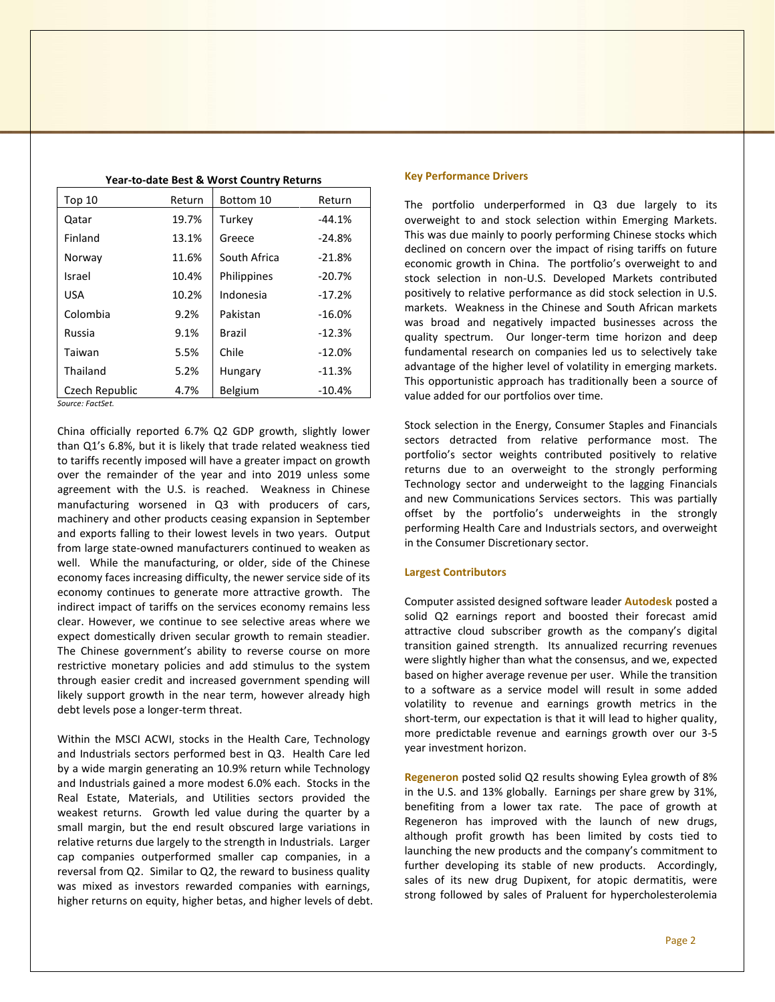| Top 10         | Return | Bottom 10      | Return   |
|----------------|--------|----------------|----------|
| Qatar          | 19.7%  | Turkey         | $-44.1%$ |
| Finland        | 13.1%  | Greece         | $-24.8%$ |
|                |        |                |          |
| Norway         | 11.6%  | South Africa   | $-21.8%$ |
| Israel         | 10.4%  | Philippines    | $-20.7%$ |
| <b>USA</b>     | 10.2%  | Indonesia      | $-17.2%$ |
| Colombia       | 9.2%   | Pakistan       | $-16.0%$ |
| Russia         | 9.1%   | <b>Brazil</b>  | $-12.3%$ |
| Taiwan         | 5.5%   | Chile          | $-12.0%$ |
| Thailand       | 5.2%   | Hungary        | $-11.3%$ |
| Czech Republic | 4.7%   | <b>Belgium</b> | $-10.4%$ |

**Year-to-date Best & Worst Country Returns**

*Source: FactSet.*

China officially reported 6.7% Q2 GDP growth, slightly lower than Q1's 6.8%, but it is likely that trade related weakness tied to tariffs recently imposed will have a greater impact on growth over the remainder of the year and into 2019 unless some agreement with the U.S. is reached. Weakness in Chinese manufacturing worsened in Q3 with producers of cars, machinery and other products ceasing expansion in September and exports falling to their lowest levels in two years. Output from large state-owned manufacturers continued to weaken as well. While the manufacturing, or older, side of the Chinese economy faces increasing difficulty, the newer service side of its economy continues to generate more attractive growth. The indirect impact of tariffs on the services economy remains less clear. However, we continue to see selective areas where we expect domestically driven secular growth to remain steadier. The Chinese government's ability to reverse course on more restrictive monetary policies and add stimulus to the system through easier credit and increased government spending will likely support growth in the near term, however already high debt levels pose a longer-term threat.

Within the MSCI ACWI, stocks in the Health Care, Technology and Industrials sectors performed best in Q3. Health Care led by a wide margin generating an 10.9% return while Technology and Industrials gained a more modest 6.0% each. Stocks in the Real Estate, Materials, and Utilities sectors provided the weakest returns. Growth led value during the quarter by a small margin, but the end result obscured large variations in relative returns due largely to the strength in Industrials. Larger cap companies outperformed smaller cap companies, in a reversal from Q2. Similar to Q2, the reward to business quality was mixed as investors rewarded companies with earnings, higher returns on equity, higher betas, and higher levels of debt.

#### **Key Performance Drivers**

The portfolio underperformed in Q3 due largely to its overweight to and stock selection within Emerging Markets. This was due mainly to poorly performing Chinese stocks which declined on concern over the impact of rising tariffs on future economic growth in China. The portfolio's overweight to and stock selection in non-U.S. Developed Markets contributed positively to relative performance as did stock selection in U.S. markets. Weakness in the Chinese and South African markets was broad and negatively impacted businesses across the quality spectrum. Our longer-term time horizon and deep fundamental research on companies led us to selectively take advantage of the higher level of volatility in emerging markets. This opportunistic approach has traditionally been a source of value added for our portfolios over time.

Stock selection in the Energy, Consumer Staples and Financials sectors detracted from relative performance most. The portfolio's sector weights contributed positively to relative returns due to an overweight to the strongly performing Technology sector and underweight to the lagging Financials and new Communications Services sectors. This was partially offset by the portfolio's underweights in the strongly performing Health Care and Industrials sectors, and overweight in the Consumer Discretionary sector.

#### **Largest Contributors**

Computer assisted designed software leader **Autodesk** posted a solid Q2 earnings report and boosted their forecast amid attractive cloud subscriber growth as the company's digital transition gained strength. Its annualized recurring revenues were slightly higher than what the consensus, and we, expected based on higher average revenue per user. While the transition to a software as a service model will result in some added volatility to revenue and earnings growth metrics in the short-term, our expectation is that it will lead to higher quality, more predictable revenue and earnings growth over our 3-5 year investment horizon.

**Regeneron** posted solid Q2 results showing Eylea growth of 8% in the U.S. and 13% globally. Earnings per share grew by 31%, benefiting from a lower tax rate. The pace of growth at Regeneron has improved with the launch of new drugs, although profit growth has been limited by costs tied to launching the new products and the company's commitment to further developing its stable of new products. Accordingly, sales of its new drug Dupixent, for atopic dermatitis, were strong followed by sales of Praluent for hypercholesterolemia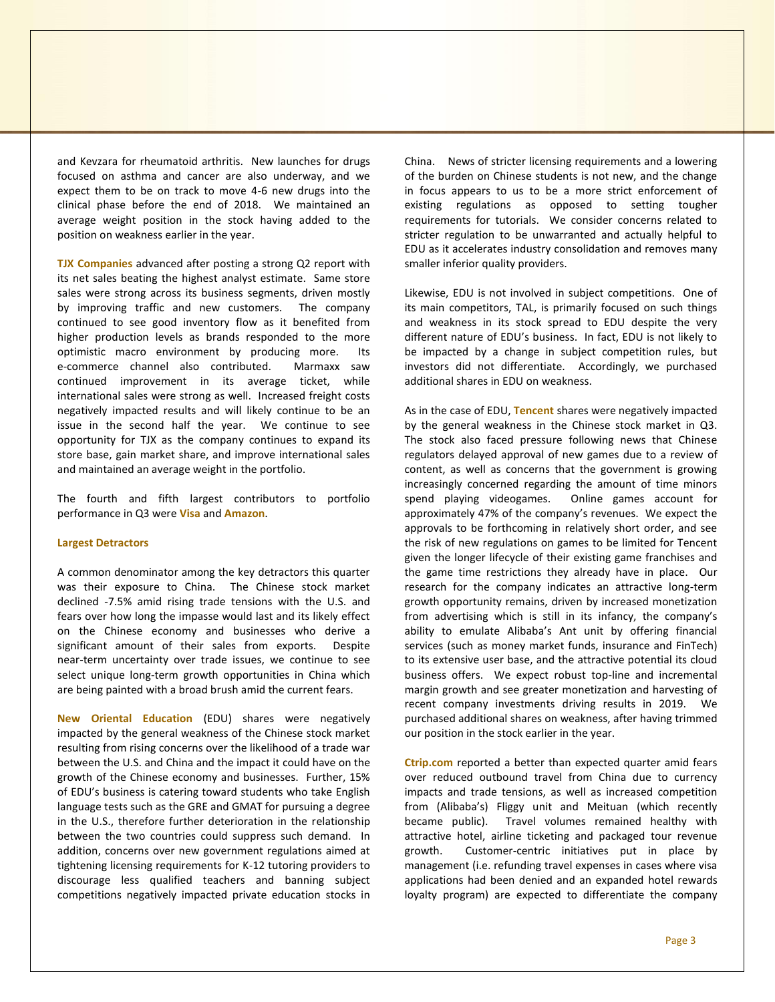and Kevzara for rheumatoid arthritis. New launches for drugs focused on asthma and cancer are also underway, and we expect them to be on track to move 4-6 new drugs into the clinical phase before the end of 2018. We maintained an average weight position in the stock having added to the position on weakness earlier in the year.

**TJX Companies** advanced after posting a strong Q2 report with its net sales beating the highest analyst estimate. Same store sales were strong across its business segments, driven mostly by improving traffic and new customers. The company continued to see good inventory flow as it benefited from higher production levels as brands responded to the more optimistic macro environment by producing more. Its e-commerce channel also contributed. Marmaxx saw continued improvement in its average ticket, while international sales were strong as well. Increased freight costs negatively impacted results and will likely continue to be an issue in the second half the year. We continue to see opportunity for TJX as the company continues to expand its store base, gain market share, and improve international sales and maintained an average weight in the portfolio.

The fourth and fifth largest contributors to portfolio performance in Q3 were **Visa** and **Amazon**.

#### **Largest Detractors**

A common denominator among the key detractors this quarter was their exposure to China. The Chinese stock market declined -7.5% amid rising trade tensions with the U.S. and fears over how long the impasse would last and its likely effect on the Chinese economy and businesses who derive a significant amount of their sales from exports. Despite near-term uncertainty over trade issues, we continue to see select unique long-term growth opportunities in China which are being painted with a broad brush amid the current fears.

**New Oriental Education** (EDU) shares were negatively impacted by the general weakness of the Chinese stock market resulting from rising concerns over the likelihood of a trade war between the U.S. and China and the impact it could have on the growth of the Chinese economy and businesses. Further, 15% of EDU's business is catering toward students who take English language tests such as the GRE and GMAT for pursuing a degree in the U.S., therefore further deterioration in the relationship between the two countries could suppress such demand. In addition, concerns over new government regulations aimed at tightening licensing requirements for K-12 tutoring providers to discourage less qualified teachers and banning subject competitions negatively impacted private education stocks in

China. News of stricter licensing requirements and a lowering of the burden on Chinese students is not new, and the change in focus appears to us to be a more strict enforcement of existing regulations as opposed to setting tougher requirements for tutorials. We consider concerns related to stricter regulation to be unwarranted and actually helpful to EDU as it accelerates industry consolidation and removes many smaller inferior quality providers.

Likewise, EDU is not involved in subject competitions. One of its main competitors, TAL, is primarily focused on such things and weakness in its stock spread to EDU despite the very different nature of EDU's business. In fact, EDU is not likely to be impacted by a change in subject competition rules, but investors did not differentiate. Accordingly, we purchased additional shares in EDU on weakness.

As in the case of EDU, **Tencent** shares were negatively impacted by the general weakness in the Chinese stock market in Q3. The stock also faced pressure following news that Chinese regulators delayed approval of new games due to a review of content, as well as concerns that the government is growing increasingly concerned regarding the amount of time minors spend playing videogames. Online games account for approximately 47% of the company's revenues. We expect the approvals to be forthcoming in relatively short order, and see the risk of new regulations on games to be limited for Tencent given the longer lifecycle of their existing game franchises and the game time restrictions they already have in place. Our research for the company indicates an attractive long-term growth opportunity remains, driven by increased monetization from advertising which is still in its infancy, the company's ability to emulate Alibaba's Ant unit by offering financial services (such as money market funds, insurance and FinTech) to its extensive user base, and the attractive potential its cloud business offers. We expect robust top-line and incremental margin growth and see greater monetization and harvesting of recent company investments driving results in 2019. We purchased additional shares on weakness, after having trimmed our position in the stock earlier in the year.

**Ctrip.com** reported a better than expected quarter amid fears over reduced outbound travel from China due to currency impacts and trade tensions, as well as increased competition from (Alibaba's) Fliggy unit and Meituan (which recently became public). Travel volumes remained healthy with attractive hotel, airline ticketing and packaged tour revenue growth. Customer-centric initiatives put in place by management (i.e. refunding travel expenses in cases where visa applications had been denied and an expanded hotel rewards loyalty program) are expected to differentiate the company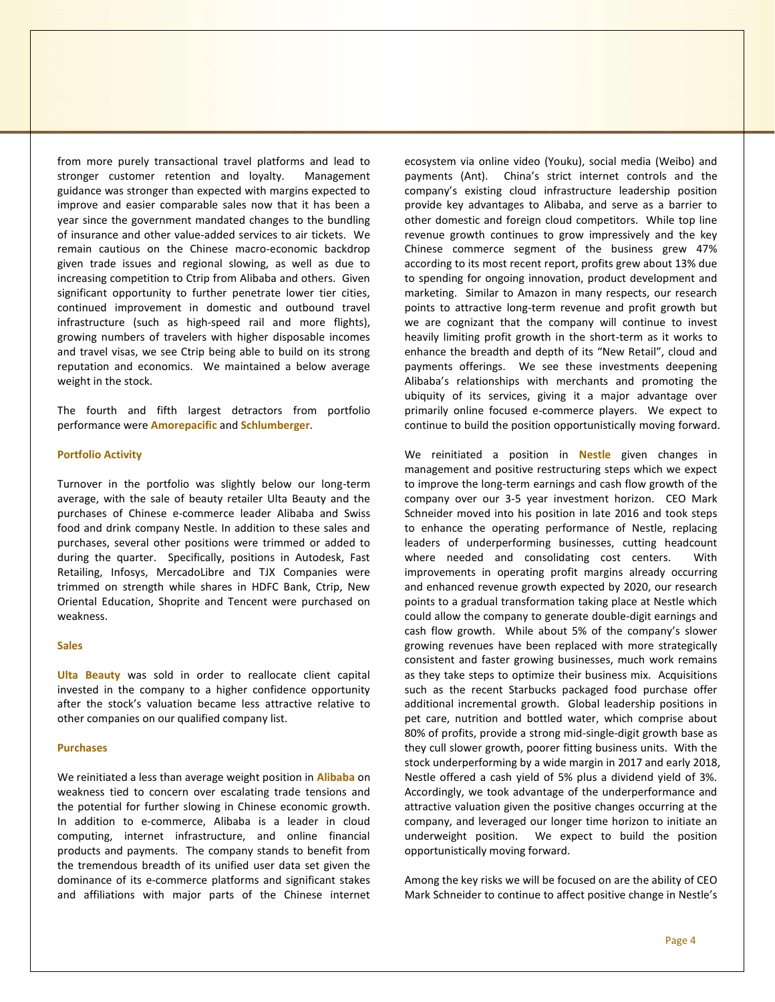from more purely transactional travel platforms and lead to stronger customer retention and loyalty. Management guidance was stronger than expected with margins expected to improve and easier comparable sales now that it has been a year since the government mandated changes to the bundling of insurance and other value-added services to air tickets. We remain cautious on the Chinese macro-economic backdrop given trade issues and regional slowing, as well as due to increasing competition to Ctrip from Alibaba and others. Given significant opportunity to further penetrate lower tier cities, continued improvement in domestic and outbound travel infrastructure (such as high-speed rail and more flights), growing numbers of travelers with higher disposable incomes and travel visas, we see Ctrip being able to build on its strong reputation and economics. We maintained a below average weight in the stock.

The fourth and fifth largest detractors from portfolio performance were **Amorepacific** and **Schlumberger**.

### **Portfolio Activity**

Turnover in the portfolio was slightly below our long-term average, with the sale of beauty retailer Ulta Beauty and the purchases of Chinese e-commerce leader Alibaba and Swiss food and drink company Nestle. In addition to these sales and purchases, several other positions were trimmed or added to during the quarter. Specifically, positions in Autodesk, Fast Retailing, Infosys, MercadoLibre and TJX Companies were trimmed on strength while shares in HDFC Bank, Ctrip, New Oriental Education, Shoprite and Tencent were purchased on weakness.

## **Sales**

**Ulta Beauty** was sold in order to reallocate client capital invested in the company to a higher confidence opportunity after the stock's valuation became less attractive relative to other companies on our qualified company list.

## **Purchases**

We reinitiated a less than average weight position in **Alibaba** on weakness tied to concern over escalating trade tensions and the potential for further slowing in Chinese economic growth. In addition to e-commerce, Alibaba is a leader in cloud computing, internet infrastructure, and online financial products and payments. The company stands to benefit from the tremendous breadth of its unified user data set given the dominance of its e-commerce platforms and significant stakes and affiliations with major parts of the Chinese internet

ecosystem via online video (Youku), social media (Weibo) and payments (Ant). China's strict internet controls and the company's existing cloud infrastructure leadership position provide key advantages to Alibaba, and serve as a barrier to other domestic and foreign cloud competitors. While top line revenue growth continues to grow impressively and the key Chinese commerce segment of the business grew 47% according to its most recent report, profits grew about 13% due to spending for ongoing innovation, product development and marketing. Similar to Amazon in many respects, our research points to attractive long-term revenue and profit growth but we are cognizant that the company will continue to invest heavily limiting profit growth in the short-term as it works to enhance the breadth and depth of its "New Retail", cloud and payments offerings. We see these investments deepening Alibaba's relationships with merchants and promoting the ubiquity of its services, giving it a major advantage over primarily online focused e-commerce players. We expect to continue to build the position opportunistically moving forward.

We reinitiated a position in **Nestle** given changes in management and positive restructuring steps which we expect to improve the long-term earnings and cash flow growth of the company over our 3-5 year investment horizon. CEO Mark Schneider moved into his position in late 2016 and took steps to enhance the operating performance of Nestle, replacing leaders of underperforming businesses, cutting headcount where needed and consolidating cost centers. With improvements in operating profit margins already occurring and enhanced revenue growth expected by 2020, our research points to a gradual transformation taking place at Nestle which could allow the company to generate double-digit earnings and cash flow growth. While about 5% of the company's slower growing revenues have been replaced with more strategically consistent and faster growing businesses, much work remains as they take steps to optimize their business mix. Acquisitions such as the recent Starbucks packaged food purchase offer additional incremental growth. Global leadership positions in pet care, nutrition and bottled water, which comprise about 80% of profits, provide a strong mid-single-digit growth base as they cull slower growth, poorer fitting business units. With the stock underperforming by a wide margin in 2017 and early 2018, Nestle offered a cash yield of 5% plus a dividend yield of 3%. Accordingly, we took advantage of the underperformance and attractive valuation given the positive changes occurring at the company, and leveraged our longer time horizon to initiate an underweight position. We expect to build the position opportunistically moving forward.

Among the key risks we will be focused on are the ability of CEO Mark Schneider to continue to affect positive change in Nestle's